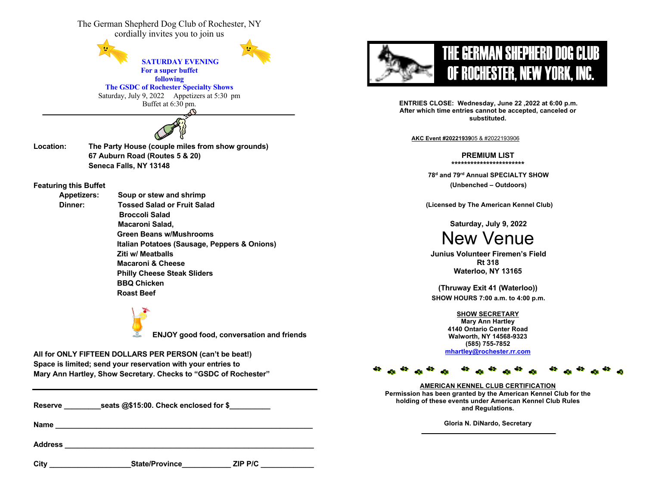# The German Shepherd Dog Club of Rochester, NY cordially invites you to join us



**The GSDC of Rochester Specialty Shows** Saturday, July 9, 2022 Appetizers at 5:30 pm Buffet at 6:30 pm.



**Location: The Party House (couple miles from show grounds) 67 Auburn Road (Routes 5 & 20) Seneca Falls, NY 13148** 

**Featuring this Buffet**

**Appetizers: Soup or stew and shrimp Dinner: Tossed Salad or Fruit Salad Broccoli Salad Macaroni Salad, Green Beans w/Mushrooms Italian Potatoes (Sausage, Peppers & Onions) Ziti w/ Meatballs Macaroni & Cheese Philly Cheese Steak Sliders BBQ Chicken Roast Beef** 

 **ENJOY good food, conversation and friends**

**All for ONLY FIFTEEN DOLLARS PER PERSON (can't be beat!) Space is limited; send your reservation with your entries to Mary Ann Hartley, Show Secretary. Checks to "GSDC of Rochester"**

Reserve **Reserve** seats @\$15:00. Check enclosed for \$

**Name \_\_\_\_\_\_\_\_\_\_\_\_\_\_\_\_\_\_\_\_\_\_\_\_\_\_\_\_\_\_\_\_\_\_\_\_\_\_\_\_\_\_\_\_\_\_\_\_\_\_\_\_\_\_\_\_\_\_\_\_\_\_\_**

**Address \_\_\_\_\_\_\_\_\_\_\_\_\_\_\_\_\_\_\_\_\_\_\_\_\_\_\_\_\_\_\_\_\_\_\_\_\_\_\_\_\_\_\_\_\_\_\_\_\_\_\_\_\_\_\_\_\_\_\_\_\_**

| Citv | <b>State/Province</b> | ZIP P/C |
|------|-----------------------|---------|
|      |                       |         |



**ENTRIES CLOSE: Wednesday, June 22 ,2022 at 6:00 p.m. After which time entries cannot be accepted, canceled or substituted.**

**AKC Event #20221939**05 & #2022193906

**PREMIUM LIST \*\*\*\*\*\*\*\*\*\*\*\*\*\*\*\*\*\*\*\*\*\*\***

**78d and 79rd Annual SPECIALTY SHOW (Unbenched – Outdoors)**

**(Licensed by The American Kennel Club)**

**Saturday, July 9, 2022** New Venue

**Junius Volunteer Firemen's Field Rt 318 Waterloo, NY 13165**

**(Thruway Exit 41 (Waterloo)) SHOW HOURS 7:00 a.m. to 4:00 p.m.**

> **SHOW SECRETARY Mary Ann Hartley 4140 Ontario Center Road Walworth, NY 14568-9323 (585) 755-7852 mhartley@rochester.rr.com**



**AMERICAN KENNEL CLUB CERTIFICATION Permission has been granted by the American Kennel Club for the holding of these events under American Kennel Club Rules and Regulations.**

**Gloria N. DiNardo, Secretary**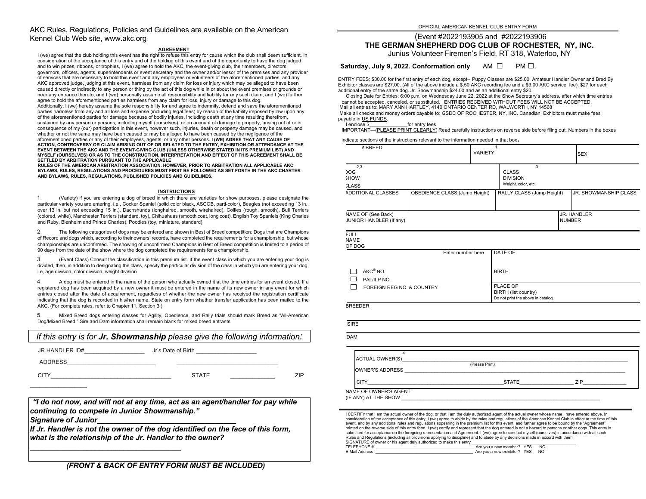#### AKC Rules, Regulations, Policies and Guidelines are available on the American Kennel Club Web site, www.akc.org

#### **AGREEMENT**

I (we) agree that the club holding this event has the right to refuse this entry for cause which the club shall deem sufficient. In consideration of the acceptance of this entry and of the holding of this event and of the opportunity to have the dog judged and to win prizes, ribbons, or trophies, I (we) agree to hold the AKC, the event-giving club, their members, directors, governors, officers, agents, superintendents or event secretary and the owner and/or lessor of the premises and any provider of services that are necessary to hold this event and any employees or volunteers of the aforementioned parties, and any AKC approved judge, judging at this event, harmless from any claim for loss or injury which may be alleged to have been caused directly or indirectly to any person or thing by the act of this dog while in or about the event premises or grounds or near any entrance thereto, and I (we) personally assume all responsibility and liability for any such claim; and I (we) further agree to hold the aforementioned parties harmless from any claim for loss, injury or damage to this dog. Additionally, I (we) hereby assume the sole responsibility for and agree to indemnify, defend and save the aforementioned parties harmless from any and all loss and expense (including legal fees) by reason of the liability imposed by law upon any of the aforementioned parties for damage because of bodily injuries, including death at any time resulting therefrom, sustained by any person or persons, including myself (ourselves), or on account of damage to property, arising out of or in consequence of my (our) participation in this event, however such, injuries, death or property damage may be caused, and whether or not the same may have been caused or may be alleged to have been caused by the negligence of the aforementioned parties or any of their employees, agents, or any other persons. **I (WE) AGREE THAT ANY CAUSE OF ACTION, CONTROVERSY OR CLAIM ARISING OUT OF OR RELATED TO THE ENTRY, EXHIBITION OR ATTENDANCE AT THE EVENT BETWEEN THE AKC AND THE EVENT-GIVING CLUB (UNLESS OTHERWISE STATED IN ITS PREMIUM LIST) AND MYSELF (OURSELVES) OR AS TO THE CONSTRUCTION, INTERPRETATION AND EFFECT OF THIS AGREEMENT SHALL BE SETTLED BY ARBITRATION PURSUANT TO THE APPLICABLE** 

**RULES OF THE AMERICAN ARBITRATION ASSOCIATION. HOWEVER, PRIOR TO ARBITRATION ALL APPLICABLE AKC BYLAWS, RULES, REGULATIONS AND PROCEDURES MUST FIRST BE FOLLOWED AS SET FORTH IN THE AKC CHARTER AND BYLAWS, RULES, REGULATIONS, PUBLISHED POLICIES AND GUIDELINES.**

#### **INSTRUCTIONS**

1. (Variety) if you are entering a dog of breed in which there are varieties for show purposes, please designate the particular variety you are entering, i.e., Cocker Spaniel (solid color black, ASCOB, parti-color), Beagles (not exceeding 13 in., over 13 in. but not exceeding 15 in.), Dachshunds (longhaired, smooth, wirehaired), Collies (rough, smooth), Bull Terriers (colored, white), Manchester Terriers (standard, toy), Chihuahuas (smooth coat, long coat), English Toy Spaniels (King Charles and Ruby, Blenheim and Prince Charles), Poodles (toy, miniature, standard).

2. The following categories of dogs may be entered and shown in Best of Breed competition: Dogs that are Champions of Record and dogs which, according to their owners' records, have completed the requirements for a championship, but whose championships are unconfirmed. The showing of unconfirmed Champions in Best of Breed competition is limited to a period of 90 days from the date of the show where the dog completed the requirements for a championship.

3. (Event Class) Consult the classification in this premium list. If the event class in which you are entering your dog is divided, then, in addition to designating the class, specify the particular division of the class in which you are entering your dog, i.e, age division, color division, weight division.

4. A dog must be entered in the name of the person who actually owned it at the time entries for an event closed. If a registered dog has been acquired by a new owner it must be entered in the name of its new owner in any event for which entries closed after the date of acquirement, regardless of whether the new owner has received the registration certificate indicating that the dog is recorded in his/her name. State on entry form whether transfer application has been mailed to the AKC. (For complete rules, refer to Chapter 11, Section 3.)

5. Mixed Breed dogs entering classes for Agility, Obedience, and Rally trials should mark Breed as "All-American Dog/Mixed Breed." Sire and Dam information shall remain blank for mixed breed entrants

| If this entry is for Jr. Showmanship please give the following information: |  |  |
|-----------------------------------------------------------------------------|--|--|
|-----------------------------------------------------------------------------|--|--|

Jr's Date of Birth

 $\mathcal{L}=\mathcal{L}^{\mathcal{L}}$  , where  $\mathcal{L}^{\mathcal{L}}$  , we have the set of the set of the set of the set of the set of the set of the set of the set of the set of the set of the set of the set of the set of the set of the set of

ADDRESS\_\_\_\_\_\_\_\_\_\_\_\_\_\_\_\_\_\_\_\_\_\_\_\_\_\_\_\_ \_\_\_\_\_\_\_\_\_\_\_\_\_\_\_\_\_\_\_\_\_\_\_\_\_\_\_\_\_\_\_\_

CITY\_\_\_\_\_\_\_\_\_\_\_\_\_\_\_\_\_\_\_\_\_\_\_\_\_\_\_\_\_\_\_\_\_\_\_\_\_\_ STATE \_\_\_\_\_\_\_\_\_\_\_\_\_\_ ZIP

.

*"I do not now, and will not at any time, act as an agent/handler for pay while continuing to compete in Junior Showmanship."*

*Signature of Junior\_\_\_\_\_\_\_\_\_\_\_\_\_\_\_\_\_\_\_\_\_\_\_\_\_\_\_\_\_\_\_\_\_\_*

*\_\_\_\_\_\_\_\_\_\_\_\_\_\_\_\_\_\_\_\_\_\_\_\_\_\_\_\_\_\_\_\_\_\_\_\_\_* 

*If Jr. Handler is not the owner of the dog identified on the face of this form, what is the relationship of the Jr. Handler to the owner?* 

(Event #2022193905 and #2022193906 **THE GERMAN SHEPHERD DOG CLUB OF ROCHESTER, NY, INC.**

Junius Volunteer Firemen's Field, RT 318, Waterloo, NY

**Saturday, July 9, 2022. Conformation only** AM **□** PM **□**.

ENTRY FEES; \$30.00 for the first entry of each dog, except-- Puppy Classes are \$25.00, Amateur Handler Owner and Bred By Exhibitor classes are \$27.00. (All of the above include a \$.50 AKC recording fee and a \$3.00 AKC service fee). \$27 for each additional entry of the same dog. Jr. Showmanship \$24.00 and as an additional entry \$20.

 Closing Date for Entries: 6:00 p.m. on Wednesday June 22, 2022 at the Show Secretary's address, after which time entries cannot be accepted, canceled, or substituted.ENTRIES RECEIVED WITHOUT FEES WILL NOT BE ACCEPTED. Mail all entries to: MARY ANN HARTLEY, 4140 ONTARIO CENTER RD, WALWORTH, NY 14568 Make all checks and money orders payable to: GSDC OF ROCHESTER, NY, INC. Canadian Exhibitors must make fees payable in US FUNDS.

I enclose \$\_\_\_\_\_\_\_\_\_\_\_\_\_\_\_for entry fees<br>IMPORTANT—(<u>PLEASE PRINT CLEARLY</u>) Read carefully instructions on reverse side before filing out. Numbers in the boxes

| 5 BREED                                                                                                                                                                                                                                                                                                                                                                                                                                                                                                                                                                                                                                                                                                                                                                                                                                                                                                                                                                                     | <b>VARIETY</b> | $\overline{1}$                                                                         |   | <b>SEX</b>                   |  |
|---------------------------------------------------------------------------------------------------------------------------------------------------------------------------------------------------------------------------------------------------------------------------------------------------------------------------------------------------------------------------------------------------------------------------------------------------------------------------------------------------------------------------------------------------------------------------------------------------------------------------------------------------------------------------------------------------------------------------------------------------------------------------------------------------------------------------------------------------------------------------------------------------------------------------------------------------------------------------------------------|----------------|----------------------------------------------------------------------------------------|---|------------------------------|--|
| 2.3<br>COC<br><b>SHOW</b><br>CLASS                                                                                                                                                                                                                                                                                                                                                                                                                                                                                                                                                                                                                                                                                                                                                                                                                                                                                                                                                          |                | <b>CLASS</b><br><b>DIVISION</b><br>Weight, color, etc.                                 | 3 |                              |  |
| <b>ADDITIONAL CLASSES</b><br><b>OBEDIENCE CLASS (Jump Height)</b>                                                                                                                                                                                                                                                                                                                                                                                                                                                                                                                                                                                                                                                                                                                                                                                                                                                                                                                           |                | RALLY CLASS (Jump Height)                                                              |   | JR. SHOWMANSHIP CLASS        |  |
| NAME OF (See Back)<br>JUNIOR HANDLER (If any)                                                                                                                                                                                                                                                                                                                                                                                                                                                                                                                                                                                                                                                                                                                                                                                                                                                                                                                                               |                |                                                                                        |   | JR. HANDLER<br><b>NUMBER</b> |  |
| <b>FULL</b><br><b>NAME</b><br>OF DOG                                                                                                                                                                                                                                                                                                                                                                                                                                                                                                                                                                                                                                                                                                                                                                                                                                                                                                                                                        |                |                                                                                        |   |                              |  |
| Enter number here                                                                                                                                                                                                                                                                                                                                                                                                                                                                                                                                                                                                                                                                                                                                                                                                                                                                                                                                                                           |                | DATE OF                                                                                |   |                              |  |
| AKC <sup>®</sup> NO.<br>PAL/ILP NO.<br>FOREIGN REG NO. & COUNTRY                                                                                                                                                                                                                                                                                                                                                                                                                                                                                                                                                                                                                                                                                                                                                                                                                                                                                                                            |                | <b>BIRTH</b><br>PLACE OF<br>BIRTH (list country)<br>Do not print the above in catalog. |   |                              |  |
| <b>BREEDER</b>                                                                                                                                                                                                                                                                                                                                                                                                                                                                                                                                                                                                                                                                                                                                                                                                                                                                                                                                                                              |                |                                                                                        |   |                              |  |
| <b>SIRE</b>                                                                                                                                                                                                                                                                                                                                                                                                                                                                                                                                                                                                                                                                                                                                                                                                                                                                                                                                                                                 |                |                                                                                        |   |                              |  |
| <b>DAM</b>                                                                                                                                                                                                                                                                                                                                                                                                                                                                                                                                                                                                                                                                                                                                                                                                                                                                                                                                                                                  |                |                                                                                        |   |                              |  |
| $\overline{4}$                                                                                                                                                                                                                                                                                                                                                                                                                                                                                                                                                                                                                                                                                                                                                                                                                                                                                                                                                                              |                |                                                                                        |   |                              |  |
|                                                                                                                                                                                                                                                                                                                                                                                                                                                                                                                                                                                                                                                                                                                                                                                                                                                                                                                                                                                             |                |                                                                                        |   |                              |  |
|                                                                                                                                                                                                                                                                                                                                                                                                                                                                                                                                                                                                                                                                                                                                                                                                                                                                                                                                                                                             |                |                                                                                        |   |                              |  |
|                                                                                                                                                                                                                                                                                                                                                                                                                                                                                                                                                                                                                                                                                                                                                                                                                                                                                                                                                                                             |                |                                                                                        |   |                              |  |
| NAME OF OWNER'S AGENT<br>(IF ANY) AT THE SHOW WILL ARE AND THE RESERVE TO A SERVE THE SHOW WILL ASSESS TO A SERVE THE SHOW WILL ASSESS TO A SHOW THAT A STATE OF THE SHOW WILL ASSESS TO A STATE OF THE SHOW WILL ASSESS TO A STATE OF THE SHOW WILL AS                                                                                                                                                                                                                                                                                                                                                                                                                                                                                                                                                                                                                                                                                                                                     |                |                                                                                        |   |                              |  |
|                                                                                                                                                                                                                                                                                                                                                                                                                                                                                                                                                                                                                                                                                                                                                                                                                                                                                                                                                                                             |                |                                                                                        |   |                              |  |
| I CERTIFY that I am the actual owner of the dog, or that I am the duly authorized agent of the actual owner whose name I have entered above. In<br>consideration of the acceptance of this entry. I (we) agree to abide by the rules and regulations of the American Kennel Club in effect at the time of this<br>event, and by any additional rules and regulations appearing in the premium list for this event, and further agree to be bound by the "Agreement"<br>printed on the reverse side of this entry form. I (we) certify and represent that the dog entered is not a hazard to persons or other dogs. This entry is<br>submitted for acceptance on the foregoing representation and Agreement. I (we) agree to conduct myself (ourselves) in accordance with all such<br>Rules and Regulations (including all provisions applying to discipline) and to abide by any decisions made in accord with them.<br>SIGNATURE of owner or his agent duly authorized to make this entry |                | Are you a new member? YES                                                              |   |                              |  |

|  |  | (FRONT & BACK OF ENTRY FORM MUST BE INCLUDED) |  |  |  |  |
|--|--|-----------------------------------------------|--|--|--|--|
|--|--|-----------------------------------------------|--|--|--|--|